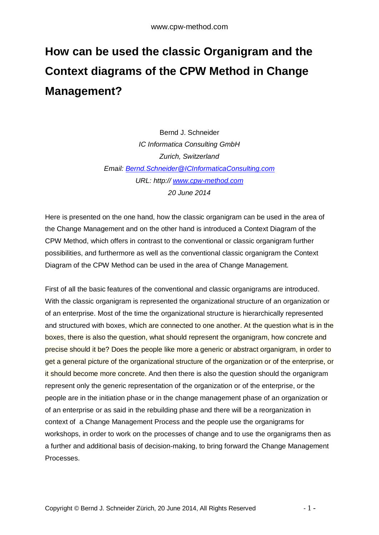## **How can be used the classic Organigram and the Context diagrams of the CPW Method in Change Management?**

Bernd J. Schneider *IC Informatica Consulting GmbH Zurich, Switzerland Email: [Bernd.Schneider@ICInformaticaConsulting.com](mailto:Bernd.Schneider@ICInformaticaConsulting.com) URL: http:// <www.cpw-method.com> 20 June 2014* 

Here is presented on the one hand, how the classic organigram can be used in the area of the Change Management and on the other hand is introduced a Context Diagram of the CPW Method, which offers in contrast to the conventional or classic organigram further possibilities, and furthermore as well as the conventional classic organigram the Context Diagram of the CPW Method can be used in the area of Change Management.

First of all the basic features of the conventional and classic organigrams are introduced. With the classic organigram is represented the organizational structure of an organization or of an enterprise. Most of the time the organizational structure is hierarchically represented and structured with boxes, which are connected to one another. At the question what is in the boxes, there is also the question, what should represent the organigram, how concrete and precise should it be? Does the people like more a generic or abstract organigram, in order to get a general picture of the organizational structure of the organization or of the enterprise, or it should become more concrete. And then there is also the question should the organigram represent only the generic representation of the organization or of the enterprise, or the people are in the initiation phase or in the change management phase of an organization or of an enterprise or as said in the rebuilding phase and there will be a reorganization in context of a Change Management Process and the people use the organigrams for workshops, in order to work on the processes of change and to use the organigrams then as a further and additional basis of decision-making, to bring forward the Change Management Processes.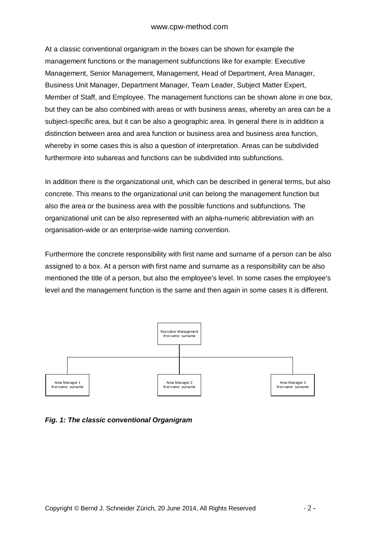At a classic conventional organigram in the boxes can be shown for example the management functions or the management subfunctions like for example: Executive Management, Senior Management, Management, Head of Department, Area Manager, Business Unit Manager, Department Manager, Team Leader, Subject Matter Expert, Member of Staff, and Employee. The management functions can be shown alone in one box, but they can be also combined with areas or with business areas, whereby an area can be a subject-specific area, but it can be also a geographic area. In general there is in addition a distinction between area and area function or business area and business area function, whereby in some cases this is also a question of interpretation. Areas can be subdivided furthermore into subareas and functions can be subdivided into subfunctions.

In addition there is the organizational unit, which can be described in general terms, but also concrete. This means to the organizational unit can belong the management function but also the area or the business area with the possible functions and subfunctions. The organizational unit can be also represented with an alpha-numeric abbreviation with an organisation-wide or an enterprise-wide naming convention.

Furthermore the concrete responsibility with first name and surname of a person can be also assigned to a box. At a person with first name and surname as a responsibility can be also mentioned the title of a person, but also the employee's level. In some cases the employee's level and the management function is the same and then again in some cases it is different.



*Fig. 1: The classic conventional Organigram*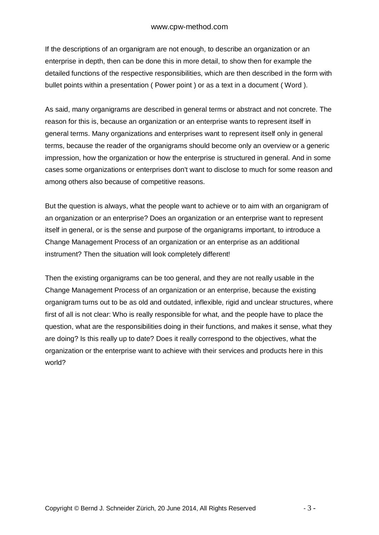If the descriptions of an organigram are not enough, to describe an organization or an enterprise in depth, then can be done this in more detail, to show then for example the detailed functions of the respective responsibilities, which are then described in the form with bullet points within a presentation ( Power point ) or as a text in a document ( Word ).

As said, many organigrams are described in general terms or abstract and not concrete. The reason for this is, because an organization or an enterprise wants to represent itself in general terms. Many organizations and enterprises want to represent itself only in general terms, because the reader of the organigrams should become only an overview or a generic impression, how the organization or how the enterprise is structured in general. And in some cases some organizations or enterprises don't want to disclose to much for some reason and among others also because of competitive reasons.

But the question is always, what the people want to achieve or to aim with an organigram of an organization or an enterprise? Does an organization or an enterprise want to represent itself in general, or is the sense and purpose of the organigrams important, to introduce a Change Management Process of an organization or an enterprise as an additional instrument? Then the situation will look completely different!

Then the existing organigrams can be too general, and they are not really usable in the Change Management Process of an organization or an enterprise, because the existing organigram turns out to be as old and outdated, inflexible, rigid and unclear structures, where first of all is not clear: Who is really responsible for what, and the people have to place the question, what are the responsibilities doing in their functions, and makes it sense, what they are doing? Is this really up to date? Does it really correspond to the objectives, what the organization or the enterprise want to achieve with their services and products here in this world?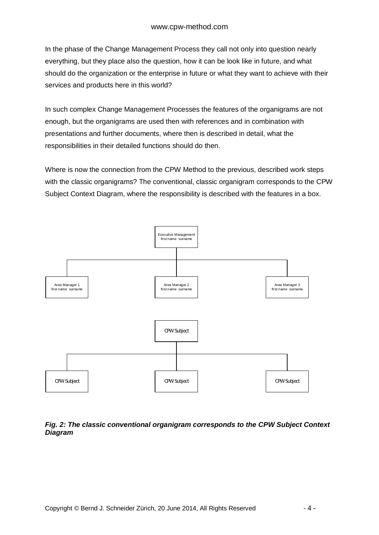In the phase of the Change Management Process they call not only into question nearly everything, but they place also the question, how it can be look like in future, and what should do the organization or the enterprise in future or what they want to achieve with their services and products here in this world?

In such complex Change Management Processes the features of the organigrams are not enough, but the organigrams are used then with references and in combination with presentations and further documents, where then is described in detail, what the responsibilities in their detailed functions should do then.

Where is now the connection from the CPW Method to the previous, described work steps with the classic organigrams? The conventional, classic organigram corresponds to the CPW Subject Context Diagram, where the responsibility is described with the features in a box.



## *Fig. 2: The classic conventional organigram corresponds to the CPW Subject Context Diagram*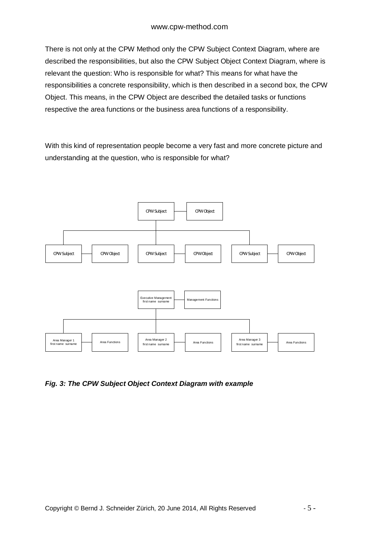There is not only at the CPW Method only the CPW Subject Context Diagram, where are described the responsibilities, but also the CPW Subject Object Context Diagram, where is relevant the question: Who is responsible for what? This means for what have the responsibilities a concrete responsibility, which is then described in a second box, the CPW Object. This means, in the CPW Object are described the detailed tasks or functions respective the area functions or the business area functions of a responsibility.

With this kind of representation people become a very fast and more concrete picture and understanding at the question, who is responsible for what?



*Fig. 3: The CPW Subject Object Context Diagram with example*